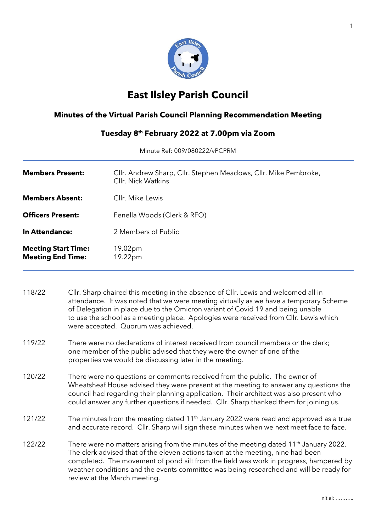

## **East Ilsley Parish Council**

## **Minutes of the Virtual Parish Council Planning Recommendation Meeting**

## **Tuesday 8 th February 2022 at 7.00pm via Zoom**

Minute Ref: 009/080222/vPCPRM

| <b>Members Present:</b>                                | Cllr. Andrew Sharp, Cllr. Stephen Meadows, Cllr. Mike Pembroke,<br>Cllr. Nick Watkins |
|--------------------------------------------------------|---------------------------------------------------------------------------------------|
| <b>Members Absent:</b>                                 | Cllr. Mike Lewis                                                                      |
| <b>Officers Present:</b>                               | Fenella Woods (Clerk & RFO)                                                           |
| In Attendance:                                         | 2 Members of Public                                                                   |
| <b>Meeting Start Time:</b><br><b>Meeting End Time:</b> | 19.02pm<br>19.22pm                                                                    |

118/22 Cllr. Sharp chaired this meeting in the absence of Cllr. Lewis and welcomed all in attendance. It was noted that we were meeting virtually as we have a temporary Scheme of Delegation in place due to the Omicron variant of Covid 19 and being unable to use the school as a meeting place. Apologies were received from Cllr. Lewis which were accepted. Quorum was achieved.

- 119/22 There were no declarations of interest received from council members or the clerk; one member of the public advised that they were the owner of one of the properties we would be discussing later in the meeting.
- 120/22 There were no questions or comments received from the public. The owner of Wheatsheaf House advised they were present at the meeting to answer any questions the council had regarding their planning application. Their architect was also present who could answer any further questions if needed. Cllr. Sharp thanked them for joining us.
- 121/22 The minutes from the meeting dated 11<sup>th</sup> January 2022 were read and approved as a true and accurate record. Cllr. Sharp will sign these minutes when we next meet face to face.
- 122/22 There were no matters arising from the minutes of the meeting dated 11<sup>th</sup> January 2022. The clerk advised that of the eleven actions taken at the meeting, nine had been completed. The movement of pond silt from the field was work in progress, hampered by weather conditions and the events committee was being researched and will be ready for review at the March meeting.